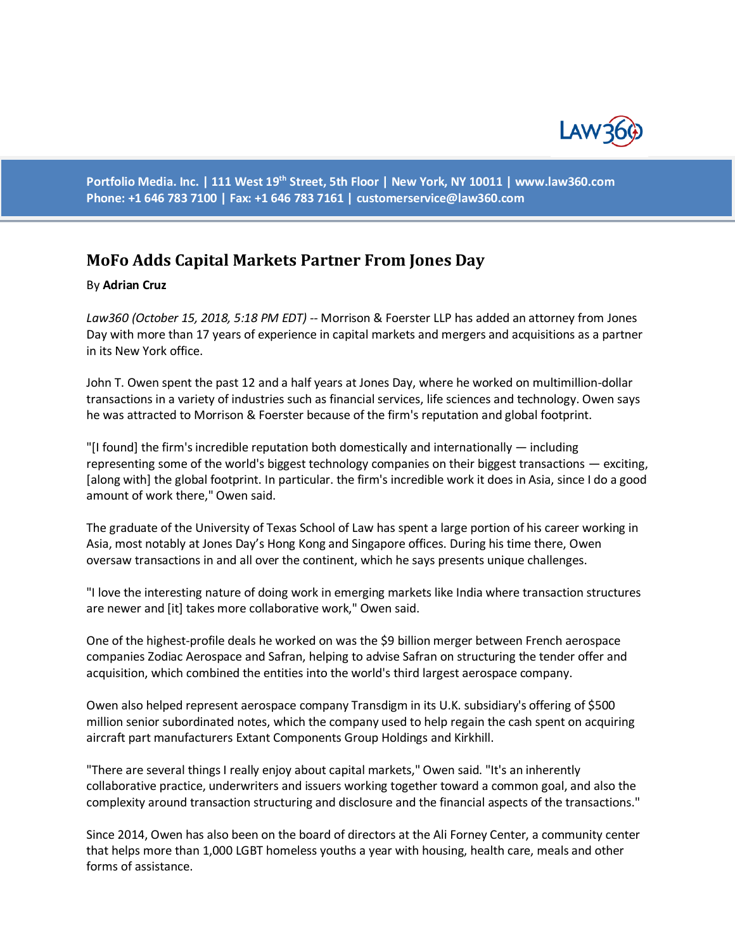

**Portfolio Media. Inc. | 111 West 19th Street, 5th Floor | New York, NY 10011 | www.law360.com Phone: +1 646 783 7100 | Fax: +1 646 783 7161 | [customerservice@law360.com](mailto:customerservice@law360.com)**

## **MoFo Adds Capital Markets Partner From Jones Day**

## By **Adrian Cruz**

*Law360 (October 15, 2018, 5:18 PM EDT) --* [Morrison & Foerster LLP](https://www.law360.com/firms/morrison-foerster) has added an attorney from [Jones](https://www.law360.com/firms/jones-day)  [Day](https://www.law360.com/firms/jones-day) with more than 17 years of experience in capital markets and mergers and acquisitions as a partner in its New York office.

John T. Owen spent the past 12 and a half years at Jones Day, where he worked on multimillion-dollar transactions in a variety of industries such as financial services, life sciences and technology. Owen says he was attracted to Morrison & Foerster because of the firm's reputation and global footprint.

"[I found] the firm's incredible reputation both domestically and internationally  $-$  including representing some of the world's biggest technology companies on their biggest transactions — exciting, [along with] the global footprint. In particular. the firm's incredible work it does in Asia, since I do a good amount of work there," Owen said.

The graduate of the University of Texas School of Law has spent a large portion of his career working in Asia, most notably at Jones Day's Hong Kong and Singapore offices. During his time there, Owen oversaw transactions in and all over the continent, which he says presents unique challenges.

"I love the interesting nature of doing work in emerging markets like India where transaction structures are newer and [it] takes more collaborative work," Owen said.

One of the highest-profile deals he worked on was the [\\$9 billion merger](https://www.law360.com/articles/882468) between French aerospace companies [Zodiac Aerospace](https://www.law360.com/companies/zodiac-aerospace-sa) and Safran, helping to advise Safran on structuring the tender offer and acquisition, which combined the entities into the world's third largest aerospace company.

Owen also helped represent aerospace company [Transdigm](https://www.law360.com/companies/transdigm-group) in its U.K. subsidiary's offering of \$500 million senior subordinated notes, which the company used to help regain the cash spent on acquiring aircraft part manufacturers [Extant Components Group Holdings](https://www.law360.com/articles/1023484) and Kirkhill.

"There are several things I really enjoy about capital markets," Owen said. "It's an inherently collaborative practice, underwriters and issuers working together toward a common goal, and also the complexity around transaction structuring and disclosure and the financial aspects of the transactions."

Since 2014, Owen has also been on the board of directors at the Ali Forney Center, a community center that helps more than 1,000 LGBT homeless youths a year with housing, health care, meals and other forms of assistance.